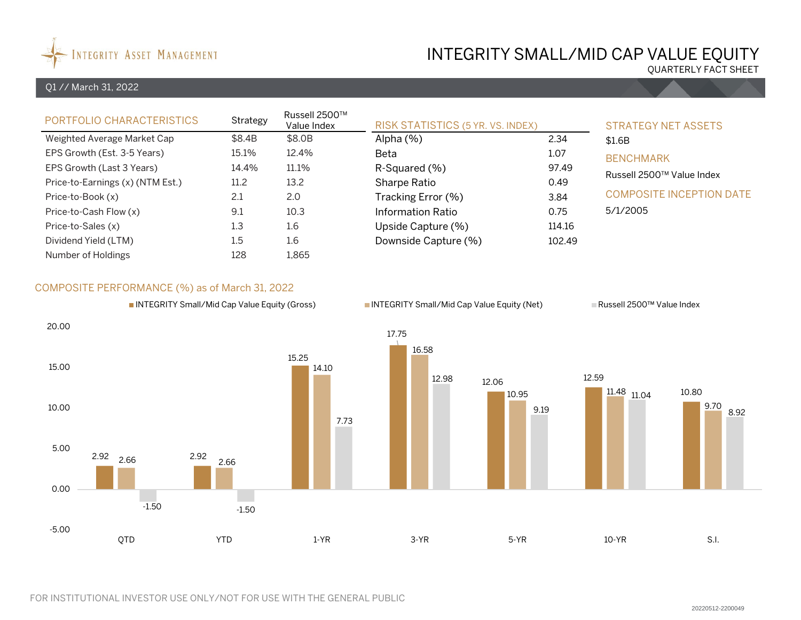

# INTEGRITY SMALL/MID CAP VALUE EQUITY

QUARTERLY FACT SHEET

## Q1 // March 31, 2022

| PORTFOLIO CHARACTERISTICS        | Strategy | Russell 2500™<br>Value Index | <b>RISK STATISTICS (5 YR. VS. INDEX)</b> | <b>STRATEGY NET ASSETS</b> |                                 |  |  |
|----------------------------------|----------|------------------------------|------------------------------------------|----------------------------|---------------------------------|--|--|
| Weighted Average Market Cap      | \$8.4B   | \$8.0B                       | Alpha $(\%)$                             | 2.34                       | \$1.6B                          |  |  |
| EPS Growth (Est. 3-5 Years)      | 15.1%    | 12.4%                        | Beta                                     | 1.07                       | <b>BENCHMARK</b>                |  |  |
| EPS Growth (Last 3 Years)        | 14.4%    | 11.1%                        | 97.49<br>R-Squared (%)                   |                            | Russell 2500™ Value Index       |  |  |
| Price-to-Earnings (x) (NTM Est.) | 11.2     | 13.2                         | Sharpe Ratio                             | 0.49                       |                                 |  |  |
| Price-to-Book (x)                | 2.1      | 2.0                          | Tracking Error (%)                       | 3.84                       | <b>COMPOSITE INCEPTION DATE</b> |  |  |
| Price-to-Cash Flow (x)           | 9.1      | 10.3                         | Information Ratio                        | 0.75                       | 5/1/2005                        |  |  |
| Price-to-Sales (x)               | 1.3      | 1.6                          | Upside Capture (%)                       | 114.16                     |                                 |  |  |
| Dividend Yield (LTM)             | 1.5      | 1.6                          | Downside Capture (%)                     | 102.49                     |                                 |  |  |
| Number of Holdings               | 128      | 1,865                        |                                          |                            |                                 |  |  |

## COMPOSITE PERFORMANCE (%) as of March 31, 2022

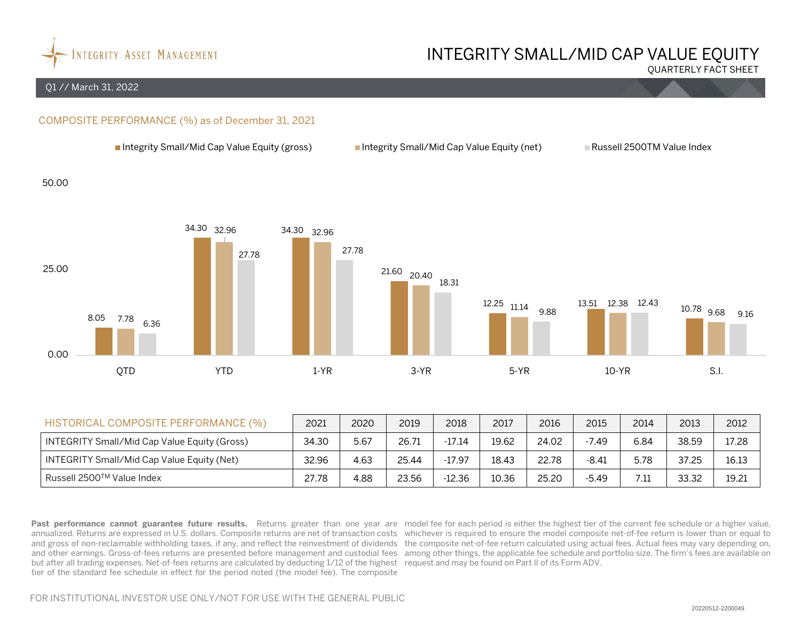

# INTEGRITY SMALL/MID CAP VALUE EQUITY

QUARTERLY FACT SHEET

#### Q1 // March 31, 2022

## COMPOSITE PERFORMANCE (%) as of December 31, 2021



| HISTORICAL COMPOSITE PERFORMANCE (%)         | 2021  | 2020 | 2019  | 2018     | 2017  | 2016  | 2015    | 2014 | 2013  | 2012  |
|----------------------------------------------|-------|------|-------|----------|-------|-------|---------|------|-------|-------|
| INTEGRITY Small/Mid Cap Value Equity (Gross) | 34.30 | 5.67 | 26.71 | $-17.14$ | 19.62 | 24.02 | $-7.49$ | 6.84 | 38.59 | 17.28 |
| INTEGRITY Small/Mid Cap Value Equity (Net)   | 32.96 | 4.63 | 25.44 | -17.97   | 18.43 | 22.78 | $-8.41$ | 5.78 | 37.25 | 16.13 |
| Russell 2500™ Value Index                    | 27.78 | 4.88 | 23.56 | -12.36   | 10.36 | 25.20 | $-5.49$ | 7.11 | 33.32 | 19.21 |

Past performance cannot guarantee future results. Returns greater than one year are model fee for each period is either the highest tier of the current fee schedule or a higher value, annualized. Returns are expressed in U.S. dollars. Composite returns are net of transaction costs whichever is required to ensure the model composite net-of-fee return is lower than or equal to and gross of non-reclaimable withholding taxes, if any, and reflect the reinvestment of dividends the composite net-of-fee return calculated using actual fees. Actual fees may vary depending on, and other earnings. Gross-of-fees returns are presented before management and custodial fees among other things, the applicable fee schedule and portfolio size. The firm's fees are available on but after all trading expenses. Net-of-fees returns are calculated by deducting 1/12 of the highest request and may be found on Part II of its Form ADV. tier of the standard fee schedule in effect for the period noted (the model fee). The composite